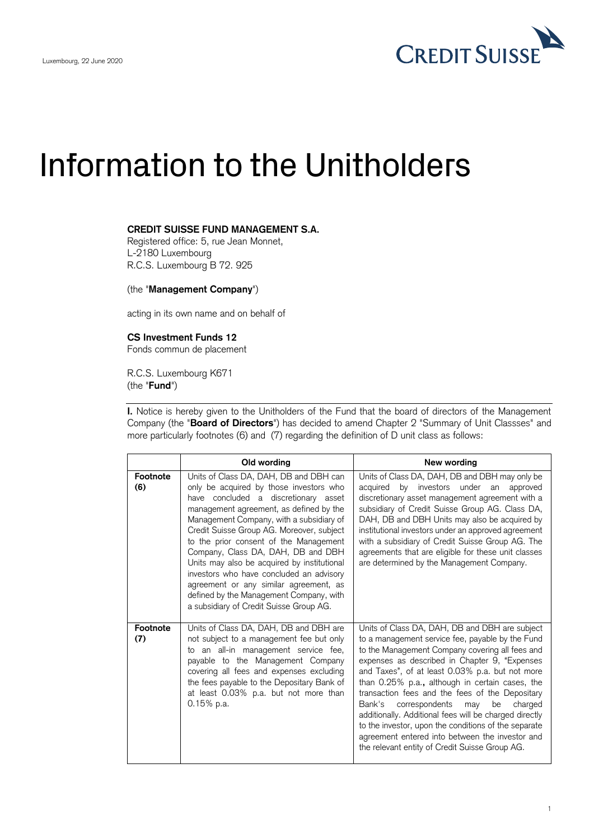

## Information to the Unitholders

## **CREDIT SUISSE FUND MANAGEMENT S.A.**

Registered office: 5, rue Jean Monnet, L-2180 Luxembourg R.C.S. Luxembourg B 72. 925

(the "**Management Company**")

acting in its own name and on behalf of

## **CS Investment Funds 12**

Fonds commun de placement

R.C.S. Luxembourg K671 (the "**Fund**")

**I.** Notice is hereby given to the Unitholders of the Fund that the board of directors of the Management Company (the "**Board of Directors**") has decided to amend Chapter 2 "Summary of Unit Classses" and more particularly footnotes (6) and (7) regarding the definition of D unit class as follows:

|                 | Old wording                                                                                                                                                                                                                                                                                                                                                                                                                                                                                                                                                              | New wording                                                                                                                                                                                                                                                                                                                                                                                                                                                                                                                                                                                                                                |
|-----------------|--------------------------------------------------------------------------------------------------------------------------------------------------------------------------------------------------------------------------------------------------------------------------------------------------------------------------------------------------------------------------------------------------------------------------------------------------------------------------------------------------------------------------------------------------------------------------|--------------------------------------------------------------------------------------------------------------------------------------------------------------------------------------------------------------------------------------------------------------------------------------------------------------------------------------------------------------------------------------------------------------------------------------------------------------------------------------------------------------------------------------------------------------------------------------------------------------------------------------------|
| Footnote<br>(6) | Units of Class DA, DAH, DB and DBH can<br>only be acquired by those investors who<br>have concluded a discretionary asset<br>management agreement, as defined by the<br>Management Company, with a subsidiary of<br>Credit Suisse Group AG. Moreover, subject<br>to the prior consent of the Management<br>Company, Class DA, DAH, DB and DBH<br>Units may also be acquired by institutional<br>investors who have concluded an advisory<br>agreement or any similar agreement, as<br>defined by the Management Company, with<br>a subsidiary of Credit Suisse Group AG. | Units of Class DA, DAH, DB and DBH may only be<br>by<br>investors under an<br>acquired<br>approved<br>discretionary asset management agreement with a<br>subsidiary of Credit Suisse Group AG. Class DA,<br>DAH, DB and DBH Units may also be acquired by<br>institutional investors under an approved agreement<br>with a subsidiary of Credit Suisse Group AG. The<br>agreements that are eligible for these unit classes<br>are determined by the Management Company.                                                                                                                                                                   |
| Footnote<br>(7) | Units of Class DA, DAH, DB and DBH are<br>not subject to a management fee but only<br>to an all-in management service fee,<br>payable to the Management Company<br>covering all fees and expenses excluding<br>the fees payable to the Depositary Bank of<br>at least 0.03% p.a. but not more than<br>$0.15%$ p.a.                                                                                                                                                                                                                                                       | Units of Class DA, DAH, DB and DBH are subject<br>to a management service fee, payable by the Fund<br>to the Management Company covering all fees and<br>expenses as described in Chapter 9, "Expenses<br>and Taxes", of at least 0.03% p.a. but not more<br>than 0.25% p.a., although in certain cases, the<br>transaction fees and the fees of the Depositary<br>Bank's<br>correspondents<br>be<br>charged<br>may<br>additionally. Additional fees will be charged directly<br>to the investor, upon the conditions of the separate<br>agreement entered into between the investor and<br>the relevant entity of Credit Suisse Group AG. |